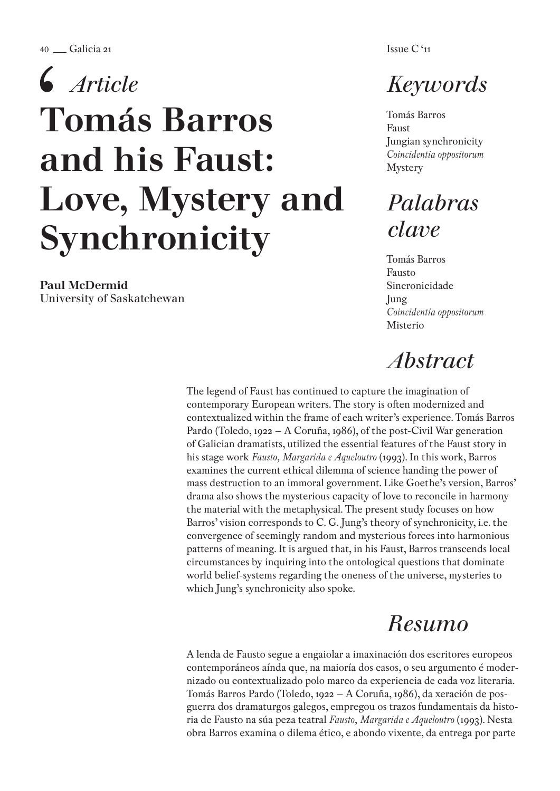$40 \text{ m}$ Galicia 21 Issue C '11

# Tomás Barros and his Faust: Love, Mystery and Synchronicity *Article*

Paul McDermid University of Saskatchewan

# *Keywords*

Tomás Barros Faust Jungian synchronicity *Coincidentia oppositorum* Mystery

# *Palabras clave*

Tomás Barros Fausto Sincronicidade Jung *Coincidentia oppositorum* Misterio

# *Abstract*

The legend of Faust has continued to capture the imagination of contemporary European writers. The story is often modernized and contextualized within the frame of each writer's experience. Tomás Barros Pardo (Toledo, 1922 – A Coruña, 1986), of the post-Civil War generation of Galician dramatists, utilized the essential features of the Faust story in his stage work *Fausto, Margarida e Aqueloutro* (1993). In this work, Barros examines the current ethical dilemma of science handing the power of mass destruction to an immoral government. Like Goethe's version, Barros' drama also shows the mysterious capacity of love to reconcile in harmony the material with the metaphysical. The present study focuses on how Barros' vision corresponds to C. G. Jung's theory of synchronicity, i.e. the convergence of seemingly random and mysterious forces into harmonious patterns of meaning. It is argued that, in his Faust, Barros transcends local circumstances by inquiring into the ontological questions that dominate world belief-systems regarding the oneness of the universe, mysteries to which Jung's synchronicity also spoke.

# *Resumo*

A lenda de Fausto segue a engaiolar a imaxinación dos escritores europeos contemporáneos aínda que, na maioría dos casos, o seu argumento é modernizado ou contextualizado polo marco da experiencia de cada voz literaria. Tomás Barros Pardo (Toledo, 1922 – A Coruña, 1986), da xeración de posguerra dos dramaturgos galegos, empregou os trazos fundamentais da historia de Fausto na súa peza teatral *Fausto, Margarida e Aqueloutro* (1993). Nesta obra Barros examina o dilema ético, e abondo vixente, da entrega por parte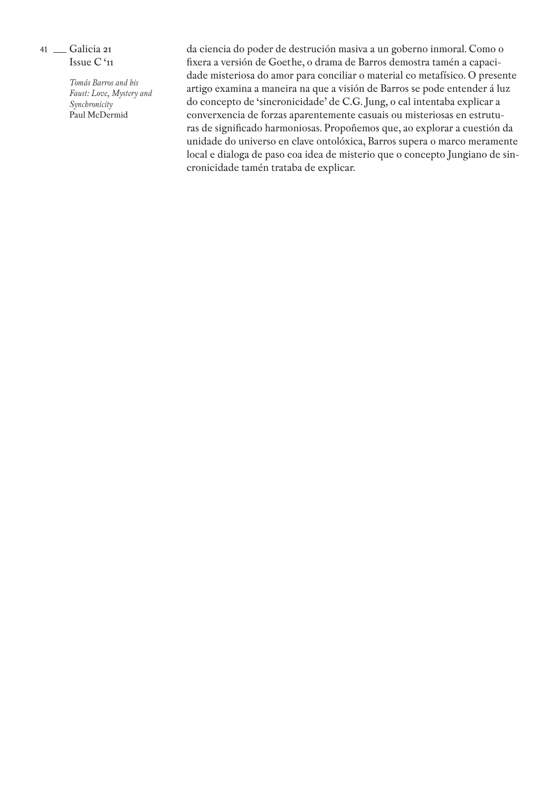> *Tomás Barros and his Faust: Love, Mystery and Synchronicity* Paul McDermid

da ciencia do poder de destrución masiva a un goberno inmoral. Como o fixera a versión de Goethe, o drama de Barros demostra tamén a capacidade misteriosa do amor para conciliar o material co metafísico. O presente artigo examina a maneira na que a visión de Barros se pode entender á luz do concepto de 'sincronicidade' de C.G. Jung, o cal intentaba explicar a converxencia de forzas aparentemente casuais ou misteriosas en estrutu ras de significado harmoniosas. Propoñemos que, ao explorar a cuestión da unidade do universo en clave ontolóxica, Barros supera o marco meramente local e dialoga de paso coa idea de misterio que o concepto Jungiano de sin cronicidade tamén trataba de explicar.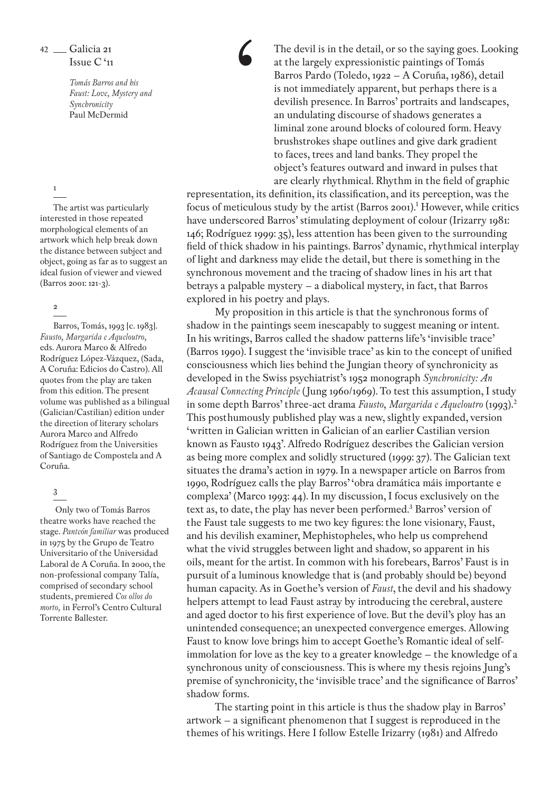*Tomás Barros and his Faust: Love, Mystery and Synchronicity* Paul McDermid

#### 1

The artist was particularly interested in those repeated morphological elements of an artwork which help break down the distance between subject and object, going as far as to suggest an ideal fusion of viewer and viewed (Barros 2001: 121-3).

# 2

Barros, Tomás, 1993 [c. 1983]. *Fausto, Margarida e Aqueloutro,* eds. Aurora Marco & Alfredo Rodríguez López-Vázquez, (Sada, A Coruña: Edicios do Castro). All quotes from the play are taken from this edition. The present volume was published as a bilingual (Galician/Castilian) edition under the direction of literary scholars Aurora Marco and Alfredo Rodríguez from the Universities of Santiago de Compostela and A Coruña.

# 3

 Only two of Tomás Barros theatre works have reached the stage. *Panteón familiar* was produced in 1975 by the Grupo de Teatro Universitario of the Universidad Laboral de A Coruña. In 2000, the non-professional company Talía, comprised of secondary school students, premiered *Cos ollos do morto,* in Ferrol's Centro Cultural Torrente Ballester.

The devil is in the detail, or so the saying goes. Looking at the largely expressionistic paintings of Tomás Barros Pardo (Toledo, 1922 – A Coruña, 1986), detail is not immediately apparent, but perhaps there is a devilish presence. In Barros' portraits and landscapes, an undulating discourse of shadows generates a liminal zone around blocks of coloured form. Heavy brushstrokes shape outlines and give dark gradient to faces, trees and land banks. They propel the object's features outward and inward in pulses that are clearly rhythmical. Rhythm in the field of graphic

representation, its definition, its classification, and its perception, was the focus of meticulous study by the artist (Barros 2001).<sup>1</sup> However, while critics have underscored Barros' stimulating deployment of colour (Irizarry 1981: 146; Rodríguez 1999: 35), less attention has been given to the surrounding field of thick shadow in his paintings. Barros' dynamic, rhythmical interplay of light and darkness may elide the detail, but there is something in the synchronous movement and the tracing of shadow lines in his art that betrays a palpable mystery – a diabolical mystery, in fact, that Barros explored in his poetry and plays.

My proposition in this article is that the synchronous forms of shadow in the paintings seem inescapably to suggest meaning or intent. In his writings, Barros called the shadow patterns life's 'invisible trace' (Barros 1990). I suggest the 'invisible trace' as kin to the concept of unified consciousness which lies behind the Jungian theory of synchronicity as developed in the Swiss psychiatrist's 1952 monograph *Synchronicity: An Acausal Connecting Principle* (Jung 1960/1969). To test this assumption, I study in some depth Barros' three-act drama *Fausto, Margarida e Aqueloutro* (1993).2 This posthumously published play was a new, slightly expanded, version 'written in Galician written in Galician of an earlier Castilian version known as Fausto 1943'. Alfredo Rodríguez describes the Galician version as being more complex and solidly structured (1999: 37). The Galician text situates the drama's action in 1979. In a newspaper article on Barros from 1990, Rodríguez calls the play Barros' 'obra dramática máis importante e complexa' (Marco 1993: 44). In my discussion, I focus exclusively on the text as, to date, the play has never been performed.<sup>3</sup> Barros' version of the Faust tale suggests to me two key figures: the lone visionary, Faust, and his devilish examiner, Mephistopheles, who help us comprehend what the vivid struggles between light and shadow, so apparent in his oils, meant for the artist. In common with his forebears, Barros' Faust is in pursuit of a luminous knowledge that is (and probably should be) beyond human capacity. As in Goethe's version of *Faust*, the devil and his shadowy helpers attempt to lead Faust astray by introducing the cerebral, austere and aged doctor to his first experience of love. But the devil's ploy has an unintended consequence; an unexpected convergence emerges. Allowing Faust to know love brings him to accept Goethe's Romantic ideal of selfimmolation for love as the key to a greater knowledge – the knowledge of a synchronous unity of consciousness. This is where my thesis rejoins Jung's premise of synchronicity, the 'invisible trace' and the significance of Barros' shadow forms.

The starting point in this article is thus the shadow play in Barros' artwork – a significant phenomenon that I suggest is reproduced in the themes of his writings. Here I follow Estelle Irizarry (1981) and Alfredo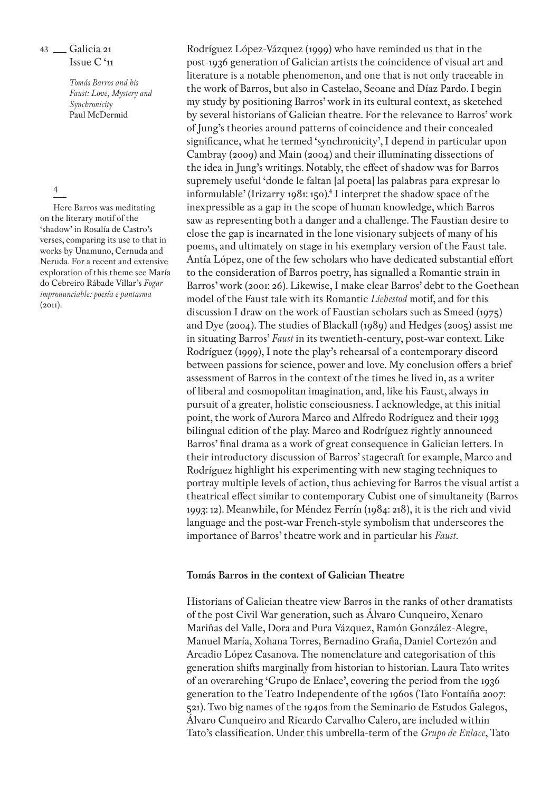> *Tomás Barros and his Faust: Love, Mystery and Synchronicity* Paul McDermid

#### 4

Here Barros was meditating on the literary motif of the 'shadow' in Rosalía de Castro's verses, comparing its use to that in works by Unamuno, Cernuda and Neruda. For a recent and extensive exploration of this theme see María do Cebreiro Rábade Villar's *Fogar impronunciable: poesía e pantasma*   $(2011).$ 

Rodríguez López-Vázquez (1999) who have reminded us that in the post-1936 generation of Galician artists the coincidence of visual art and literature is a notable phenomenon, and one that is not only traceable in the work of Barros, but also in Castelao, Seoane and Díaz Pardo. I begin my study by positioning Barros' work in its cultural context, as sketched by several historians of Galician theatre. For the relevance to Barros' work of Jung's theories around patterns of coincidence and their concealed significance, what he termed 'synchronicity', I depend in particular upon Cambray (2009) and Main (2004) and their illuminating dissections of the idea in Jung's writings. Notably, the effect of shadow was for Barros supremely useful 'donde le faltan [al poeta] las palabras para expresar lo informulable' (Irizarry 1981: 150).4 I interpret the shadow space of the inexpressible as a gap in the scope of human knowledge, which Barros saw as representing both a danger and a challenge. The Faustian desire to close the gap is incarnated in the lone visionary subjects of many of his poems, and ultimately on stage in his exemplary version of the Faust tale. Antía López, one of the few scholars who have dedicated substantial effort to the consideration of Barros poetry, has signalled a Romantic strain in Barros' work (2001: 26). Likewise, I make clear Barros' debt to the Goethean model of the Faust tale with its Romantic *Liebestod* motif, and for this discussion I draw on the work of Faustian scholars such as Smeed (1975) and Dye (2004). The studies of Blackall (1989) and Hedges (2005) assist me in situating Barros' *Faust* in its twentieth-century, post-war context. Like Rodríguez (1999), I note the play's rehearsal of a contemporary discord between passions for science, power and love. My conclusion offers a brief assessment of Barros in the context of the times he lived in, as a writer of liberal and cosmopolitan imagination, and, like his Faust, always in pursuit of a greater, holistic consciousness. I acknowledge, at this initial point, the work of Aurora Marco and Alfredo Rodríguez and their 1993 bilingual edition of the play. Marco and Rodríguez rightly announced Barros' final drama as a work of great consequence in Galician letters. In their introductory discussion of Barros' stagecraft for example, Marco and Rodríguez highlight his experimenting with new staging techniques to portray multiple levels of action, thus achieving for Barros the visual artist a theatrical effect similar to contemporary Cubist one of simultaneity (Barros 1993: 12). Meanwhile, for Méndez Ferrín (1984: 218), it is the rich and vivid language and the post-war French-style symbolism that underscores the importance of Barros' theatre work and in particular his *Faust*.

### **Tomás Barros in the context of Galician Theatre**

Historians of Galician theatre view Barros in the ranks of other dramatists of the post Civil War generation, such as Álvaro Cunqueiro, Xenaro Mariñas del Valle, Dora and Pura Vázquez, Ramón González-Alegre, Manuel María, Xohana Torres, Bernadino Graña, Daniel Cortezón and Arcadio López Casanova. The nomenclature and categorisation of this generation shifts marginally from historian to historian. Laura Tato writes of an overarching 'Grupo de Enlace', covering the period from the 1936 generation to the Teatro Independente of the 1960s (Tato Fontaíña 2007: 521). Two big names of the 1940s from the Seminario de Estudos Galegos, Álvaro Cunqueiro and Ricardo Carvalho Calero, are included within Tato's classification. Under this umbrella-term of the *Grupo de Enlace*, Tato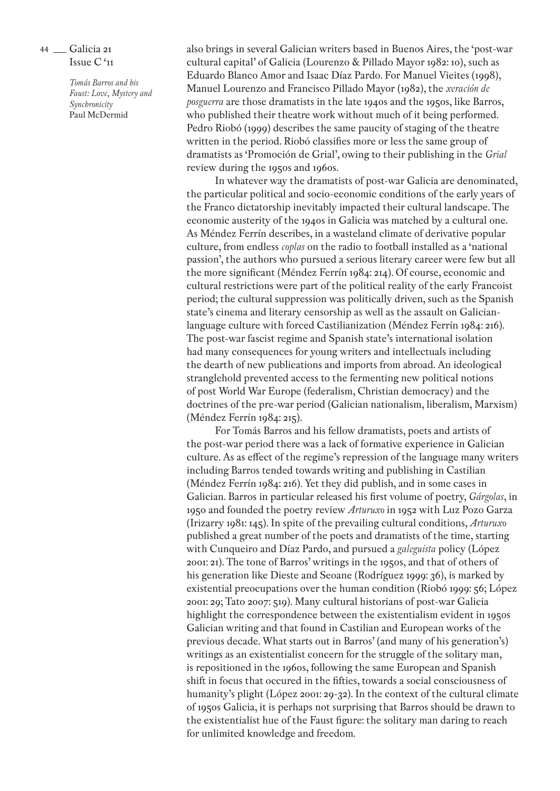> *Tomás Barros and his Faust: Love, Mystery and Synchronicity* Paul McDermid

also brings in several Galician writers based in Buenos Aires, the 'post-war cultural capital' of Galicia (Lourenzo & Pillado Mayor 1982: 10), such as Eduardo Blanco Amor and Isaac Díaz Pardo. For Manuel Vieites (1998), Manuel Lourenzo and Francisco Pillado Mayor (1982), the *xeración de posguerra* are those dramatists in the late 1940s and the 1950s, like Barros, who published their theatre work without much of it being performed. Pedro Riobó (1999) describes the same paucity of staging of the theatre written in the period. Riobó classifies more or less the same group of dramatists as 'Promoción de Grial', owing to their publishing in the *Grial* review during the 1950s and 1960s.

In whatever way the dramatists of post-war Galicia are denominated, the particular political and socio-economic conditions of the early years of the Franco dictatorship inevitably impacted their cultural landscape. The economic austerity of the 1940s in Galicia was matched by a cultural one. As Méndez Ferrín describes, in a wasteland climate of derivative popular culture, from endless *coplas* on the radio to football installed as a 'national passion', the authors who pursued a serious literary career were few but all the more significant (Méndez Ferrín 1984: 214). Of course, economic and cultural restrictions were part of the political reality of the early Francoist period; the cultural suppression was politically driven, such as the Spanish state's cinema and literary censorship as well as the assault on Galicianlanguage culture with forced Castilianization (Méndez Ferrín 1984: 216). The post-war fascist regime and Spanish state's international isolation had many consequences for young writers and intellectuals including the dearth of new publications and imports from abroad. An ideological stranglehold prevented access to the fermenting new political notions of post World War Europe (federalism, Christian democracy) and the doctrines of the pre-war period (Galician nationalism, liberalism, Marxism) (Méndez Ferrín 1984: 215).

For Tomás Barros and his fellow dramatists, poets and artists of the post-war period there was a lack of formative experience in Galician culture. As as effect of the regime's repression of the language many writers including Barros tended towards writing and publishing in Castilian (Méndez Ferrín 1984: 216). Yet they did publish, and in some cases in Galician. Barros in particular released his first volume of poetry, *Gárgolas*, in 1950 and founded the poetry review *Arturuxo* in 1952 with Luz Pozo Garza (Irizarry 1981: 145). In spite of the prevailing cultural conditions, *Arturuxo* published a great number of the poets and dramatists of the time, starting with Cunqueiro and Díaz Pardo, and pursued a *galeguista* policy (López 2001: 21). The tone of Barros' writings in the 1950s, and that of others of his generation like Dieste and Seoane (Rodríguez 1999: 36), is marked by existential preocupations over the human condition (Riobó 1999: 56; López 2001: 29; Tato 2007: 519). Many cultural historians of post-war Galicia highlight the correspondence between the existentialism evident in 1950s Galician writing and that found in Castilian and European works of the previous decade. What starts out in Barros' (and many of his generation's) writings as an existentialist concern for the struggle of the solitary man, is repositioned in the 1960s, following the same European and Spanish shift in focus that occured in the fifties, towards a social consciousness of humanity's plight (López 2001: 29-32). In the context of the cultural climate of 1950s Galicia, it is perhaps not surprising that Barros should be drawn to the existentialist hue of the Faust figure: the solitary man daring to reach for unlimited knowledge and freedom.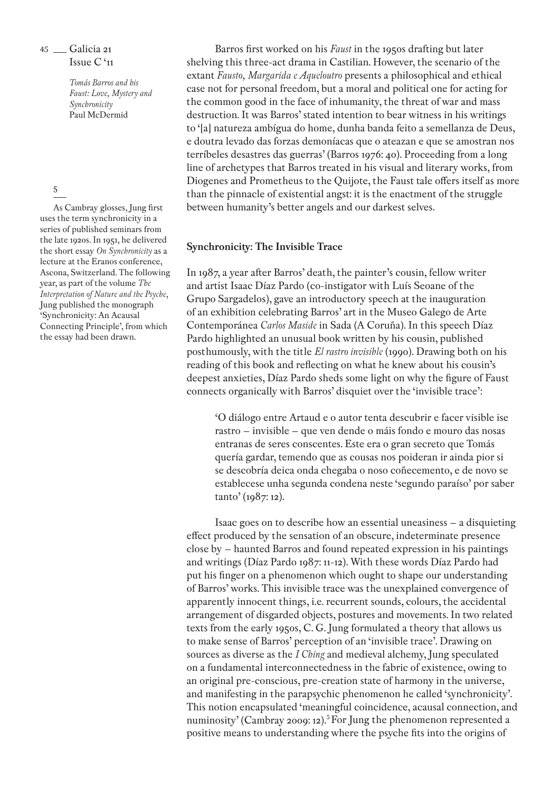> *Tomás Barros and his Faust: Love, Mystery and Synchronicity* Paul McDermid

# 5

As Cambray glosses, Jung first uses the term synchronicity in a series of published seminars from the late 1920s. In 1951, he delivered the short essay *On Synchronicity* as a lecture at the Eranos conference, Ascona, Switzerland. The following year, as part of the volume *The Interpretation of Nature and the Psyche,* Jung published the monograph 'Synchronicity: An Acausal Connecting Principle', from which the essay had been drawn.

Barros first worked on his *Faust* in the 1950s drafting but later shelving this three-act drama in Castilian. However, the scenario of the extant *Fausto, Margarida e Aqueloutro* presents a philosophical and ethical case not for personal freedom, but a moral and political one for acting for the common good in the face of inhumanity, the threat of war and mass destruction. It was Barros' stated intention to bear witness in his writings to '[a] natureza ambígua do home, dunha banda feito a semellanza de Deus, e doutra levado das forzas demoníacas que o ateazan e que se amostran nos terríbeles desastres das guerras' (Barros 1976: 40). Proceeding from a long line of archetypes that Barros treated in his visual and literary works, from Diogenes and Prometheus to the Quijote, the Faust tale offers itself as more than the pinnacle of existential angst: it is the enactment of the struggle between humanity's better angels and our darkest selves.

# **Synchronicity: The Invisible Trace**

In 1987, a year after Barros' death, the painter's cousin, fellow writer and artist Isaac Díaz Pardo (co-instigator with Luís Seoane of the Grupo Sargadelos), gave an introductory speech at the inauguration of an exhibition celebrating Barros' art in the Museo Galego de Arte Contemporánea *Carlos Maside* in Sada (A Coruña). In this speech Díaz Pardo highlighted an unusual book written by his cousin, published posthumously, with the title *El rastro invisible* (1990). Drawing both on his reading of this book and reflecting on what he knew about his cousin's deepest anxieties, Díaz Pardo sheds some light on why the figure of Faust connects organically with Barros' disquiet over the 'invisible trace':

'O diálogo entre Artaud e o autor tenta descubrir e facer visible ise rastro – invisible – que ven dende o máis fondo e mouro das nosas entranas de seres conscentes. Este era o gran secreto que Tomás quería gardar, temendo que as cousas nos poideran ir ainda pior si se descobría deica onda chegaba o noso coñecemento, e de novo se establecese unha segunda condena neste 'segundo paraíso' por saber tanto' (1987: 12).

Isaac goes on to describe how an essential uneasiness – a disquieting effect produced by the sensation of an obscure, indeterminate presence close by – haunted Barros and found repeated expression in his paintings and writings (Díaz Pardo 1987: 11-12). With these words Díaz Pardo had put his finger on a phenomenon which ought to shape our understanding of Barros' works. This invisible trace was the unexplained convergence of apparently innocent things, i.e. recurrent sounds, colours, the accidental arrangement of disgarded objects, postures and movements. In two related texts from the early 1950s, C. G. Jung formulated a theory that allows us to make sense of Barros' perception of an 'invisible trace'. Drawing on sources as diverse as the *I Ching* and medieval alchemy, Jung speculated on a fundamental interconnectedness in the fabric of existence, owing to an original pre-conscious, pre-creation state of harmony in the universe, and manifesting in the parapsychic phenomenon he called 'synchronicity'. This notion encapsulated 'meaningful coincidence, acausal connection, and numinosity' (Cambray 2009: 12).<sup>5</sup> For Jung the phenomenon represented a positive means to understanding where the psyche fits into the origins of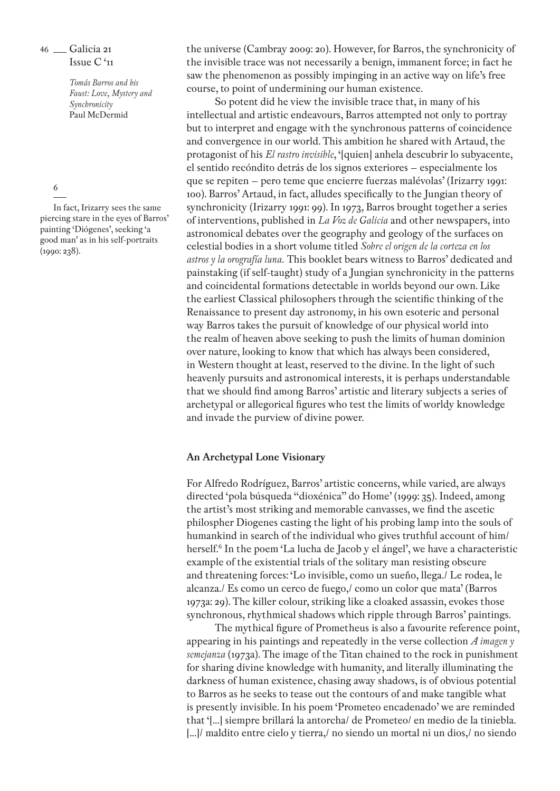> *Tomás Barros and his Faust: Love, Mystery and Synchronicity* Paul McDermid

#### 6

In fact, Irizarry sees the same piercing stare in the eyes of Barros' painting 'Diógenes', seeking 'a good man' as in his self-portraits (1990: 238).

the universe (Cambray 2009: 20). However, for Barros, the synchronicity of the invisible trace was not necessarily a benign, immanent force; in fact he saw the phenomenon as possibly impinging in an active way on life's free course, to point of undermining our human existence.

So potent did he view the invisible trace that, in many of his intellectual and artistic endeavours, Barros attempted not only to portray but to interpret and engage with the synchronous patterns of coincidence and convergence in our world. This ambition he shared with Artaud, the protagonist of his *El rastro invisible*, '[quien] anhela descubrir lo subyacente, el sentido recóndito detrás de los signos exteriores – especialmente los que se repiten – pero teme que encierre fuerzas malévolas' (Irizarry 1991: 100). Barros' Artaud, in fact, alludes specifically to the Jungian theory of synchronicity (Irizarry 1991: 99). In 1973, Barros brought together a series of interventions, published in *La Voz de Galicia* and other newspapers, into astronomical debates over the geography and geology of the surfaces on celestial bodies in a short volume titled *Sobre el origen de la corteza en los astros y la orografía luna.* This booklet bears witness to Barros' dedicated and painstaking (if self-taught) study of a Jungian synchronicity in the patterns and coincidental formations detectable in worlds beyond our own. Like the earliest Classical philosophers through the scientific thinking of the Renaissance to present day astronomy, in his own esoteric and personal way Barros takes the pursuit of knowledge of our physical world into the realm of heaven above seeking to push the limits of human dominion over nature, looking to know that which has always been considered, in Western thought at least, reserved to the divine. In the light of such heavenly pursuits and astronomical interests, it is perhaps understandable that we should find among Barros' artistic and literary subjects a series of archetypal or allegorical figures who test the limits of worldy knowledge and invade the purview of divine power.

# **An Archetypal Lone Visionary**

For Alfredo Rodríguez, Barros' artistic concerns, while varied, are always directed 'pola búsqueda "dioxénica" do Home' (1999: 35). Indeed, among the artist's most striking and memorable canvasses, we find the ascetic philospher Diogenes casting the light of his probing lamp into the souls of humankind in search of the individual who gives truthful account of him/ herself.<sup>6</sup> In the poem 'La lucha de Jacob y el ángel', we have a characteristic example of the existential trials of the solitary man resisting obscure and threatening forces: 'Lo invisible, como un sueño, llega./ Le rodea, le alcanza./ Es como un cerco de fuego,/ como un color que mata' (Barros 1973a: 29). The killer colour, striking like a cloaked assassin, evokes those synchronous, rhythmical shadows which ripple through Barros' paintings.

The mythical figure of Prometheus is also a favourite reference point, appearing in his paintings and repeatedly in the verse collection *A imagen y semejanza* (1973a). The image of the Titan chained to the rock in punishment for sharing divine knowledge with humanity, and literally illuminating the darkness of human existence, chasing away shadows, is of obvious potential to Barros as he seeks to tease out the contours of and make tangible what is presently invisible. In his poem 'Prometeo encadenado' we are reminded that '[...] siempre brillará la antorcha/ de Prometeo/ en medio de la tiniebla. [...]/ maldito entre cielo y tierra,/ no siendo un mortal ni un dios,/ no siendo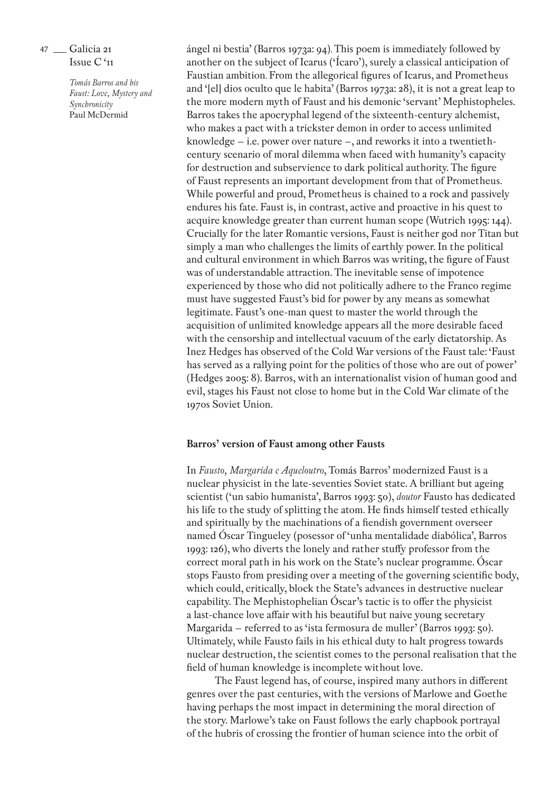> *Tomás Barros and his Faust: Love, Mystery and Synchronicity* Paul McDermid

ángel ni bestia' (Barros 1973a: 94). This poem is immediately followed by another on the subject of Icarus ('Ícaro'), surely a classical anticipation of Faustian ambition. From the allegorical figures of Icarus, and Prometheus and '[el] dios oculto que le habita' (Barros 1973a: 28), it is not a great leap to the more modern myth of Faust and his demonic 'servant' Mephistopheles. Barros takes the apocryphal legend of the sixteenth-century alchemist, who makes a pact with a trickster demon in order to access unlimited knowledge – i.e. power over nature –, and reworks it into a twentiethcentury scenario of moral dilemma when faced with humanity's capacity for destruction and subservience to dark political authority. The figure of Faust represents an important development from that of Prometheus. While powerful and proud, Prometheus is chained to a rock and passively endures his fate. Faust is, in contrast, active and proactive in his quest to acquire knowledge greater than current human scope (Wutrich 1995: 144). Crucially for the later Romantic versions, Faust is neither god nor Titan but simply a man who challenges the limits of earthly power. In the political and cultural environment in which Barros was writing, the figure of Faust was of understandable attraction. The inevitable sense of impotence experienced by those who did not politically adhere to the Franco regime must have suggested Faust's bid for power by any means as somewhat legitimate. Faust's one-man quest to master the world through the acquisition of unlimited knowledge appears all the more desirable faced with the censorship and intellectual vacuum of the early dictatorship. As Inez Hedges has observed of the Cold War versions of the Faust tale: 'Faust has served as a rallying point for the politics of those who are out of power' (Hedges 2005: 8). Barros, with an internationalist vision of human good and evil, stages his Faust not close to home but in the Cold War climate of the 1970s Soviet Union.

#### **Barros' version of Faust among other Fausts**

In *Fausto, Margarida e Aqueloutro*, Tomás Barros' modernized Faust is a nuclear physicist in the late-seventies Soviet state. A brilliant but ageing scientist ('un sabio humanista', Barros 1993: 50), *doutor* Fausto has dedicated his life to the study of splitting the atom. He finds himself tested ethically and spiritually by the machinations of a fiendish government overseer named Óscar Tingueley (posessor of 'unha mentalidade diabólica', Barros 1993: 126), who diverts the lonely and rather stuffy professor from the correct moral path in his work on the State's nuclear programme. Óscar stops Fausto from presiding over a meeting of the governing scientific body, which could, critically, block the State's advances in destructive nuclear capability. The Mephistophelian Óscar's tactic is to offer the physicist a last-chance love affair with his beautiful but naive young secretary Margarida – referred to as 'ista fermosura de muller' (Barros 1993: 50). Ultimately, while Fausto fails in his ethical duty to halt progress towards nuclear destruction, the scientist comes to the personal realisation that the field of human knowledge is incomplete without love.

The Faust legend has, of course, inspired many authors in different genres over the past centuries, with the versions of Marlowe and Goethe having perhaps the most impact in determining the moral direction of the story. Marlowe's take on Faust follows the early chapbook portrayal of the hubris of crossing the frontier of human science into the orbit of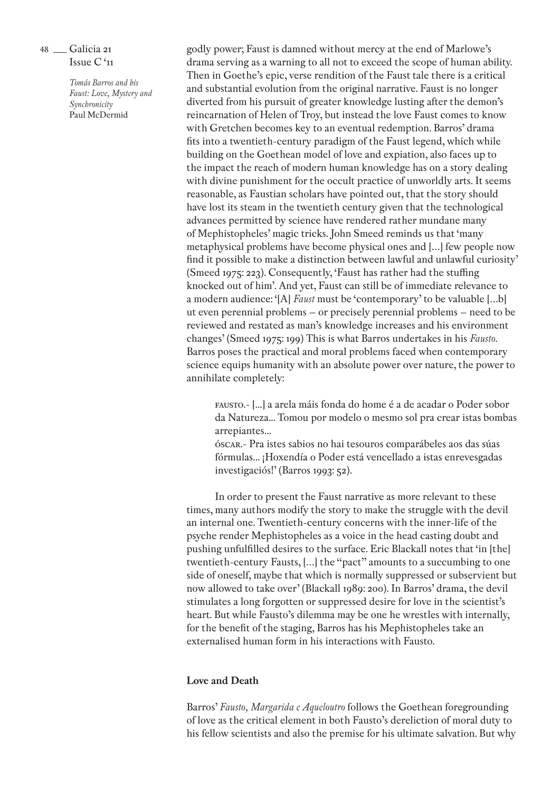> *Tomás Barros and his Faust: Love, Mystery and Synchronicity* Paul McDermid

godly power; Faust is damned without mercy at the end of Marlowe's drama serving as a warning to all not to exceed the scope of human ability. Then in Goethe's epic, verse rendition of the Faust tale there is a critical and substantial evolution from the original narrative. Faust is no longer diverted from his pursuit of greater knowledge lusting after the demon's reincarnation of Helen of Troy, but instead the love Faust comes to know with Gretchen becomes key to an eventual redemption. Barros' drama fits into a twentieth-century paradigm of the Faust legend, which while building on the Goethean model of love and expiation, also faces up to the impact the reach of modern human knowledge has on a story dealing with divine punishment for the occult practice of unworldly arts. It seems reasonable, as Faustian scholars have pointed out, that the story should have lost its steam in the twentieth century given that the technological advances permitted by science have rendered rather mundane many of Mephistopheles' magic tricks. John Smeed reminds us that 'many metaphysical problems have become physical ones and […] few people now find it possible to make a distinction between lawful and unlawful curiosity' (Smeed 1975: 223). Consequently, 'Faust has rather had the stuffing knocked out of him'. And yet, Faust can still be of immediate relevance to a modern audience: '[A] *Faust* must be 'contemporary' to be valuable […b] ut even perennial problems – or precisely perennial problems – need to be reviewed and restated as man's knowledge increases and his environment changes' (Smeed 1975: 199) This is what Barros undertakes in his *Fausto*. Barros poses the practical and moral problems faced when contemporary science equips humanity with an absolute power over nature, the power to annihilate completely:

fausto.- [...] a arela máis fonda do home é a de acadar o Poder sobor da Natureza... Tomou por modelo o mesmo sol pra crear istas bombas arrepiantes...

óscar.- Pra istes sabios no hai tesouros comparábeles aos das súas fórmulas... ¡Hoxendía o Poder está vencellado a istas enrevesgadas investigaciós!' (Barros 1993: 52).

In order to present the Faust narrative as more relevant to these times, many authors modify the story to make the struggle with the devil an internal one. Twentieth-century concerns with the inner-life of the psyche render Mephistopheles as a voice in the head casting doubt and pushing unfulfilled desires to the surface. Eric Blackall notes that 'in [the] twentieth-century Fausts, […] the "pact" amounts to a succumbing to one side of oneself, maybe that which is normally suppressed or subservient but now allowed to take over' (Blackall 1989: 200). In Barros' drama, the devil stimulates a long forgotten or suppressed desire for love in the scientist's heart. But while Fausto's dilemma may be one he wrestles with internally, for the benefit of the staging, Barros has his Mephistopheles take an externalised human form in his interactions with Fausto.

### **Love and Death**

Barros' *Fausto, Margarida e Aqueloutro* follows the Goethean foregrounding of love as the critical element in both Fausto's dereliction of moral duty to his fellow scientists and also the premise for his ultimate salvation. But why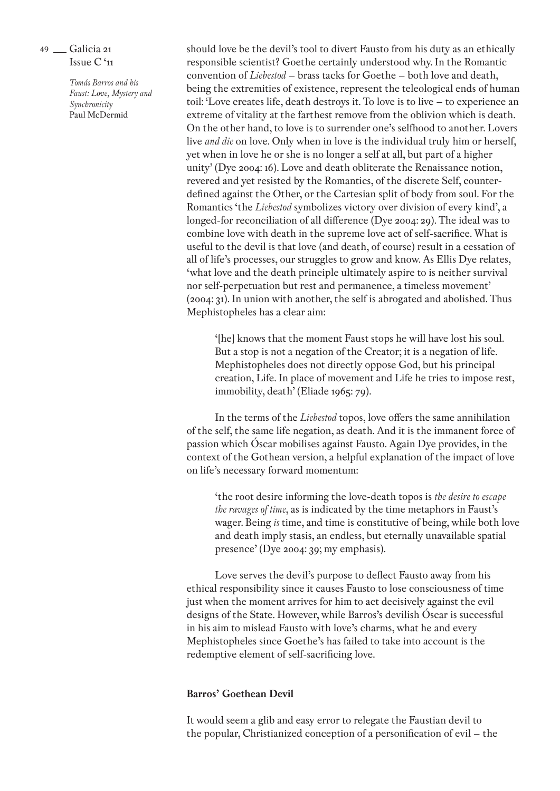> *Tomás Barros and his Faust: Love, Mystery and Synchronicity* Paul McDermid

should love be the devil's tool to divert Fausto from his duty as an ethically responsible scientist? Goethe certainly understood why. In the Romantic convention of *Liebestod* – brass tacks for Goethe – both love and death, being the extremities of existence, represent the teleological ends of human toil: 'Love creates life, death destroys it. To love is to live – to experience an extreme of vitality at the farthest remove from the oblivion which is death. On the other hand, to love is to surrender one's selfhood to another. Lovers live *and die* on love. Only when in love is the individual truly him or herself, yet when in love he or she is no longer a self at all, but part of a higher unity' (Dye 2004: 16). Love and death obliterate the Renaissance notion, revered and yet resisted by the Romantics, of the discrete Self, counterdefined against the Other, or the Cartesian split of body from soul. For the Romantics 'the *Liebestod* symbolizes victory over division of every kind', a longed-for reconciliation of all difference (Dye 2004: 29). The ideal was to combine love with death in the supreme love act of self-sacrifice. What is useful to the devil is that love (and death, of course) result in a cessation of all of life's processes, our struggles to grow and know. As Ellis Dye relates, 'what love and the death principle ultimately aspire to is neither survival nor self-perpetuation but rest and permanence, a timeless movement' (2004: 31). In union with another, the self is abrogated and abolished. Thus Mephistopheles has a clear aim:

'[he] knows that the moment Faust stops he will have lost his soul. But a stop is not a negation of the Creator; it is a negation of life. Mephistopheles does not directly oppose God, but his principal creation, Life. In place of movement and Life he tries to impose rest, immobility, death' (Eliade 1965: 79).

In the terms of the *Liebestod* topos, love offers the same annihilation of the self, the same life negation, as death. And it is the immanent force of passion which Óscar mobilises against Fausto. Again Dye provides, in the context of the Gothean version, a helpful explanation of the impact of love on life's necessary forward momentum:

'the root desire informing the love-death topos is *the desire to escape the ravages of time*, as is indicated by the time metaphors in Faust's wager. Being *is* time, and time is constitutive of being, while both love and death imply stasis, an endless, but eternally unavailable spatial presence' (Dye 2004: 39; my emphasis).

Love serves the devil's purpose to deflect Fausto away from his ethical responsibility since it causes Fausto to lose consciousness of time just when the moment arrives for him to act decisively against the evil designs of the State. However, while Barros's devilish Óscar is successful in his aim to mislead Fausto with love's charms, what he and every Mephistopheles since Goethe's has failed to take into account is the redemptive element of self-sacrificing love.

# **Barros' Goethean Devil**

It would seem a glib and easy error to relegate the Faustian devil to the popular, Christianized conception of a personification of evil – the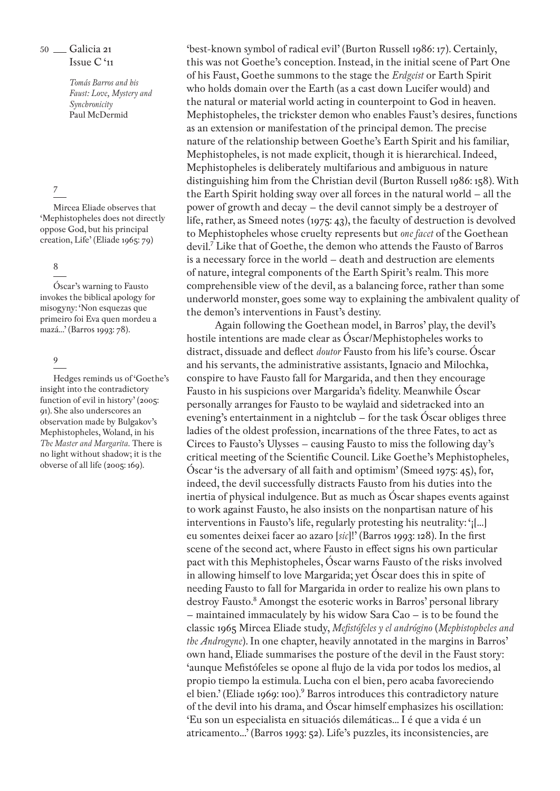> *Tomás Barros and his Faust: Love, Mystery and Synchronicity* Paul McDermid

# 7

Mircea Eliade observes that 'Mephistopheles does not directly oppose God, but his principal creation, Life' (Eliade 1965: 79)

# 8

Óscar's warning to Fausto invokes the biblical apology for misogyny: 'Non esquezas que primeiro foi Eva quen mordeu a mazá...' (Barros 1993: 78).

9

Hedges reminds us of 'Goethe's insight into the contradictory function of evil in history' (2005: 91). She also underscores an observation made by Bulgakov's Mephistopheles, Woland, in his *The Master and Margarita.* There is no light without shadow; it is the obverse of all life (2005: 169).

'best-known symbol of radical evil' (Burton Russell 1986: 17). Certainly, this was not Goethe's conception. Instead, in the initial scene of Part One of his Faust, Goethe summons to the stage the *Erdgeist* or Earth Spirit who holds domain over the Earth (as a cast down Lucifer would) and the natural or material world acting in counterpoint to God in heaven. Mephistopheles, the trickster demon who enables Faust's desires, functions as an extension or manifestation of the principal demon. The precise nature of the relationship between Goethe's Earth Spirit and his familiar, Mephistopheles, is not made explicit, though it is hierarchical. Indeed, Mephistopheles is deliberately multifarious and ambiguous in nature distinguishing him from the Christian devil (Burton Russell 1986: 158). With the Earth Spirit holding sway over all forces in the natural world – all the power of growth and decay – the devil cannot simply be a destroyer of life, rather, as Smeed notes (1975: 43), the faculty of destruction is devolved to Mephistopheles whose cruelty represents but *one facet* of the Goethean devil.7 Like that of Goethe, the demon who attends the Fausto of Barros is a necessary force in the world – death and destruction are elements of nature, integral components of the Earth Spirit's realm. This more comprehensible view of the devil, as a balancing force, rather than some underworld monster, goes some way to explaining the ambivalent quality of the demon's interventions in Faust's destiny.

Again following the Goethean model, in Barros' play, the devil's hostile intentions are made clear as Óscar/Mephistopheles works to distract, dissuade and deflect *doutor* Fausto from his life's course. Óscar and his servants, the administrative assistants, Ignacio and Milochka, conspire to have Fausto fall for Margarida, and then they encourage Fausto in his suspicions over Margarida's fidelity. Meanwhile Óscar personally arranges for Fausto to be waylaid and sidetracked into an evening's entertainment in a nightclub – for the task Óscar obliges three ladies of the oldest profession, incarnations of the three Fates, to act as Circes to Fausto's Ulysses – causing Fausto to miss the following day's critical meeting of the Scientific Council. Like Goethe's Mephistopheles, Óscar 'is the adversary of all faith and optimism' (Smeed 1975: 45), for, indeed, the devil successfully distracts Fausto from his duties into the inertia of physical indulgence. But as much as Óscar shapes events against to work against Fausto, he also insists on the nonpartisan nature of his interventions in Fausto's life, regularly protesting his neutrality: '¡[...] eu somentes deixei facer ao azaro [*sic*]!' (Barros 1993: 128). In the first scene of the second act, where Fausto in effect signs his own particular pact with this Mephistopheles, Óscar warns Fausto of the risks involved in allowing himself to love Margarida; yet Óscar does this in spite of needing Fausto to fall for Margarida in order to realize his own plans to destroy Fausto.8 Amongst the esoteric works in Barros' personal library – maintained immaculately by his widow Sara Cao – is to be found the classic 1965 Mircea Eliade study, *Mefistófeles y el andrógino* (*Mephistopheles and the Androgyne*). In one chapter, heavily annotated in the margins in Barros' own hand, Eliade summarises the posture of the devil in the Faust story: 'aunque Mefistófeles se opone al flujo de la vida por todos los medios, al propio tiempo la estimula. Lucha con el bien, pero acaba favoreciendo el bien.' (Eliade 1969: 100). Barros introduces this contradictory nature of the devil into his drama, and Óscar himself emphasizes his oscillation: 'Eu son un especialista en situaciós dilemáticas... I é que a vida é un atricamento...' (Barros 1993: 52). Life's puzzles, its inconsistencies, are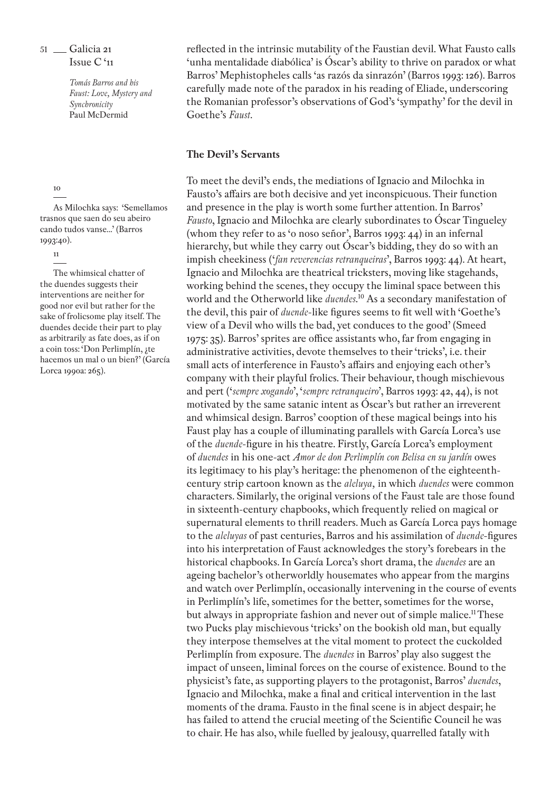> *Tomás Barros and his Faust: Love, Mystery and Synchronicity* Paul McDermid

#### 10

As Milochka says: 'Semellamos trasnos que saen do seu abeiro cando tudos vanse...' (Barros 1993:40).

#### 11

The whimsical chatter of the duendes suggests their interventions are neither for good nor evil but rather for the sake of frolicsome play itself. The duendes decide their part to play as arbitrarily as fate does, as if on a coin toss: 'Don Perlimplín, ¿te hacemos un mal o un bien?' (García Lorca 1990a: 265).

reflected in the intrinsic mutability of the Faustian devil. What Fausto calls 'unha mentalidade diabólica' is Óscar's ability to thrive on paradox or what Barros' Mephistopheles calls 'as razós da sinrazón' (Barros 1993: 126). Barros carefully made note of the paradox in his reading of Eliade, underscoring the Romanian professor's observations of God's 'sympathy' for the devil in Goethe's *Faust*.

### **The Devil's Servants**

To meet the devil's ends, the mediations of Ignacio and Milochka in Fausto's affairs are both decisive and yet inconspicuous. Their function and presence in the play is worth some further attention. In Barros' *Fausto*, Ignacio and Milochka are clearly subordinates to Óscar Tingueley (whom they refer to as 'o noso señor', Barros 1993: 44) in an infernal hierarchy, but while they carry out Óscar's bidding, they do so with an impish cheekiness ('*fan reverencias retranqueiras*', Barros 1993: 44). At heart, Ignacio and Milochka are theatrical tricksters, moving like stagehands, working behind the scenes, they occupy the liminal space between this world and the Otherworld like *duendes*. 10 As a secondary manifestation of the devil, this pair of *duende*-like figures seems to fit well with 'Goethe's view of a Devil who wills the bad, yet conduces to the good' (Smeed 1975: 35). Barros' sprites are office assistants who, far from engaging in administrative activities, devote themselves to their 'tricks', i.e. their small acts of interference in Fausto's affairs and enjoying each other's company with their playful frolics. Their behaviour, though mischievous and pert ('*sempre xogando*', '*sempre retranqueiro*', Barros 1993: 42, 44), is not motivated by the same satanic intent as Óscar's but rather an irreverent and whimsical design. Barros' cooption of these magical beings into his Faust play has a couple of illuminating parallels with García Lorca's use of the *duende*-figure in his theatre. Firstly, García Lorca's employment of *duendes* in his one-act *Amor de don Perlimplín con Belisa en su jardín* owes its legitimacy to his play's heritage: the phenomenon of the eighteenthcentury strip cartoon known as the *aleluya,* in which *duendes* were common characters. Similarly, the original versions of the Faust tale are those found in sixteenth-century chapbooks, which frequently relied on magical or supernatural elements to thrill readers. Much as García Lorca pays homage to the *aleluyas* of past centuries, Barros and his assimilation of *duende*-figures into his interpretation of Faust acknowledges the story's forebears in the historical chapbooks. In García Lorca's short drama, the *duendes* are an ageing bachelor's otherworldly housemates who appear from the margins and watch over Perlimplín, occasionally intervening in the course of events in Perlimplín's life, sometimes for the better, sometimes for the worse, but always in appropriate fashion and never out of simple malice.<sup>11</sup> These two Pucks play mischievous 'tricks' on the bookish old man, but equally they interpose themselves at the vital moment to protect the cuckolded Perlimplín from exposure. The *duendes* in Barros' play also suggest the impact of unseen, liminal forces on the course of existence. Bound to the physicist's fate, as supporting players to the protagonist, Barros' *duendes*, Ignacio and Milochka, make a final and critical intervention in the last moments of the drama. Fausto in the final scene is in abject despair; he has failed to attend the crucial meeting of the Scientific Council he was to chair. He has also, while fuelled by jealousy, quarrelled fatally with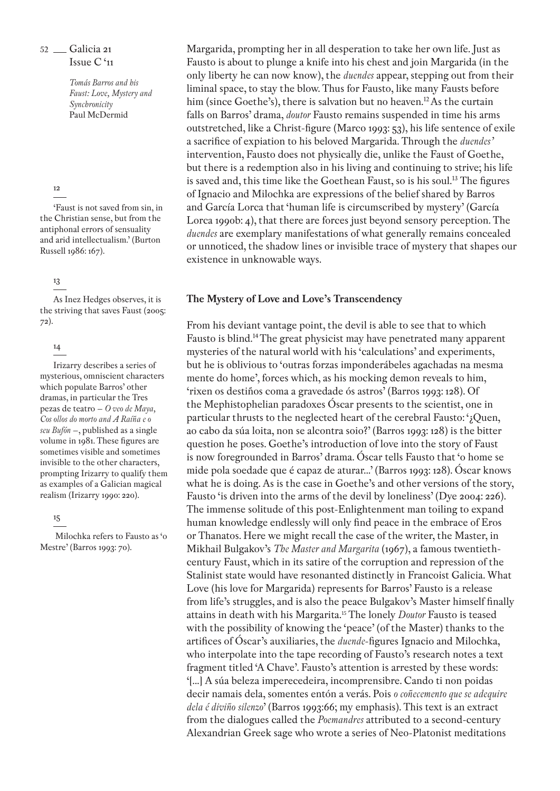> *Tomás Barros and his Faust: Love, Mystery and Synchronicity* Paul McDermid

#### 12

'Faust is not saved from sin, in the Christian sense, but from the antiphonal errors of sensuality and arid intellectualism.' (Burton Russell 1986: 167).

# 13

As Inez Hedges observes, it is the striving that saves Faust (2005: 72).

### 14

Irizarry describes a series of mysterious, omniscient characters which populate Barros' other dramas, in particular the Tres pezas de teatro – *O veo de Maya, Cos ollos do morto and A Raíña e o seu Bufón* –, published as a single volume in 1981. These figures are sometimes visible and sometimes invisible to the other characters, prompting Irizarry to qualify them as examples of a Galician magical realism (Irizarry 1990: 220).

#### 15

 Milochka refers to Fausto as 'o Mestre' (Barros 1993: 70).

Margarida, prompting her in all desperation to take her own life. Just as Fausto is about to plunge a knife into his chest and join Margarida (in the only liberty he can now know), the *duendes* appear, stepping out from their liminal space, to stay the blow. Thus for Fausto, like many Fausts before him (since Goethe's), there is salvation but no heaven.<sup>12</sup> As the curtain falls on Barros' drama, *doutor* Fausto remains suspended in time his arms outstretched, like a Christ-figure (Marco 1993: 53), his life sentence of exile a sacrifice of expiation to his beloved Margarida. Through the *duendes'* intervention, Fausto does not physically die, unlike the Faust of Goethe, but there is a redemption also in his living and continuing to strive; his life is saved and, this time like the Goethean Faust, so is his soul.<sup>13</sup> The figures of Ignacio and Milochka are expressions of the belief shared by Barros and García Lorca that 'human life is circumscribed by mystery' (García Lorca 1990b: 4), that there are forces just beyond sensory perception. The *duendes* are exemplary manifestations of what generally remains concealed or unnoticed, the shadow lines or invisible trace of mystery that shapes our existence in unknowable ways.

# **The Mystery of Love and Love's Transcendency**

From his deviant vantage point, the devil is able to see that to which Fausto is blind.14 The great physicist may have penetrated many apparent mysteries of the natural world with his 'calculations' and experiments, but he is oblivious to 'outras forzas imponderábeles agachadas na mesma mente do home', forces which, as his mocking demon reveals to him, 'rixen os destiños coma a gravedade ós astros' (Barros 1993: 128). Of the Mephistophelian paradoxes Óscar presents to the scientist, one in particular thrusts to the neglected heart of the cerebral Fausto: '¿Quen, ao cabo da súa loita, non se alcontra soio?' (Barros 1993: 128) is the bitter question he poses. Goethe's introduction of love into the story of Faust is now foregrounded in Barros' drama. Óscar tells Fausto that 'o home se mide pola soedade que é capaz de aturar...' (Barros 1993: 128). Óscar knows what he is doing. As is the case in Goethe's and other versions of the story, Fausto 'is driven into the arms of the devil by loneliness' (Dye 2004: 226). The immense solitude of this post-Enlightenment man toiling to expand human knowledge endlessly will only find peace in the embrace of Eros or Thanatos. Here we might recall the case of the writer, the Master, in Mikhail Bulgakov's *The Master and Margarita* (1967), a famous twentiethcentury Faust, which in its satire of the corruption and repression of the Stalinist state would have resonanted distinctly in Francoist Galicia. What Love (his love for Margarida) represents for Barros' Fausto is a release from life's struggles, and is also the peace Bulgakov's Master himself finally attains in death with his Margarita.15 The lonely *Doutor* Fausto is teased with the possibility of knowing the 'peace' (of the Master) thanks to the artifices of Óscar's auxiliaries, the *duende*-figures Ignacio and Milochka, who interpolate into the tape recording of Fausto's research notes a text fragment titled 'A Chave'. Fausto's attention is arrested by these words: '[...] A súa beleza imperecedeira, incomprensibre. Cando ti non poidas decir namais dela, somentes entón a verás. Pois *o coñecemento que se adequire dela é diviño silenzo*' (Barros 1993:66; my emphasis). This text is an extract from the dialogues called the *Poemandres* attributed to a second-century Alexandrian Greek sage who wrote a series of Neo-Platonist meditations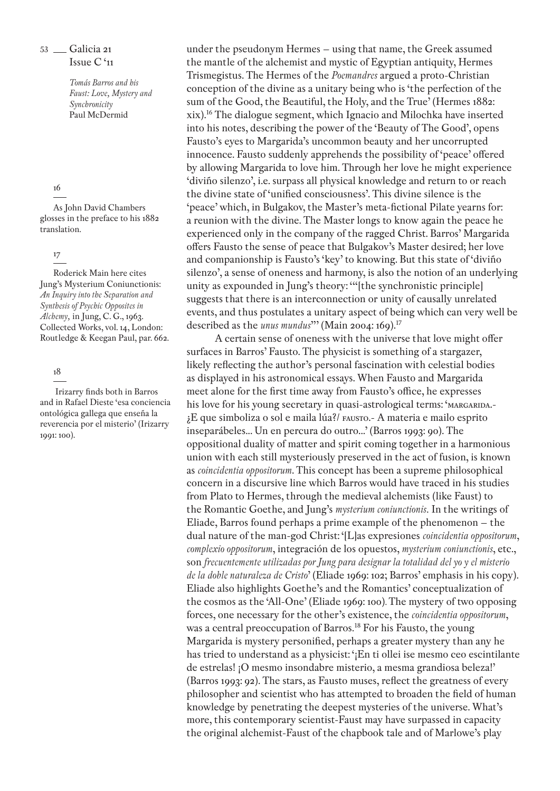> *Tomás Barros and his Faust: Love, Mystery and Synchronicity* Paul McDermid

#### 16

As John David Chambers glosses in the preface to his 1882 translation.

#### 17

Roderick Main here cites Jung's Mysterium Coniunctionis: *An Inquiry into the Separation and Synthesis of Psychic Opposites in Alchemy,* in Jung, C. G., 1963. Collected Works, vol. 14, London: Routledge & Keegan Paul, par. 662.

### 18

 Irizarry finds both in Barros and in Rafael Dieste 'esa conciencia ontológica gallega que enseña la reverencia por el misterio' (Irizarry 1991: 100).

under the pseudonym Hermes – using that name, the Greek assumed the mantle of the alchemist and mystic of Egyptian antiquity, Hermes Trismegistus. The Hermes of the *Poemandres* argued a proto-Christian conception of the divine as a unitary being who is 'the perfection of the sum of the Good, the Beautiful, the Holy, and the True' (Hermes 1882: xix).16 The dialogue segment, which Ignacio and Milochka have inserted into his notes, describing the power of the 'Beauty of The Good', opens Fausto's eyes to Margarida's uncommon beauty and her uncorrupted innocence. Fausto suddenly apprehends the possibility of 'peace' offered by allowing Margarida to love him. Through her love he might experience 'diviño silenzo', i.e. surpass all physical knowledge and return to or reach the divine state of 'unified consciousness'. This divine silence is the 'peace' which, in Bulgakov, the Master's meta-fictional Pilate yearns for: a reunion with the divine. The Master longs to know again the peace he experienced only in the company of the ragged Christ. Barros' Margarida offers Fausto the sense of peace that Bulgakov's Master desired; her love and companionship is Fausto's 'key' to knowing. But this state of 'diviño silenzo', a sense of oneness and harmony, is also the notion of an underlying unity as expounded in Jung's theory: '"[the synchronistic principle] suggests that there is an interconnection or unity of causally unrelated events, and thus postulates a unitary aspect of being which can very well be described as the *unus mundus*"' (Main 2004: 169).<sup>17</sup>

A certain sense of oneness with the universe that love might offer surfaces in Barros' Fausto. The physicist is something of a stargazer, likely reflecting the author's personal fascination with celestial bodies as displayed in his astronomical essays. When Fausto and Margarida meet alone for the first time away from Fausto's office, he expresses his love for his young secretary in quasi-astrological terms: 'MARGARIDA.-¿E que simboliza o sol e maila lúa?/ fausto.- A materia e mailo esprito inseparábeles... Un en percura do outro...' (Barros 1993: 90). The oppositional duality of matter and spirit coming together in a harmonious union with each still mysteriously preserved in the act of fusion, is known as *coincidentia oppositorum*. This concept has been a supreme philosophical concern in a discursive line which Barros would have traced in his studies from Plato to Hermes, through the medieval alchemists (like Faust) to the Romantic Goethe, and Jung's *mysterium coniunctionis.* In the writings of Eliade, Barros found perhaps a prime example of the phenomenon – the dual nature of the man-god Christ: '[L]as expresiones *coincidentia oppositorum*, *complexio oppositorum*, integración de los opuestos, *mysterium coniunctionis*, etc., son *frecuentemente utilizadas por Jung para designar la totalidad del yo y el misterio de la doble naturaleza de Cristo*' (Eliade 1969: 102; Barros' emphasis in his copy). Eliade also highlights Goethe's and the Romantics' conceptualization of the cosmos as the 'All-One' (Eliade 1969: 100). The mystery of two opposing forces, one necessary for the other's existence, the *coincidentia oppositorum*, was a central preoccupation of Barros*.* 18 For his Fausto, the young Margarida is mystery personified, perhaps a greater mystery than any he has tried to understand as a physicist: '¡En ti ollei ise mesmo ceo escintilante de estrelas! ¡O mesmo insondabre misterio, a mesma grandiosa beleza!' (Barros 1993: 92). The stars, as Fausto muses, reflect the greatness of every philosopher and scientist who has attempted to broaden the field of human knowledge by penetrating the deepest mysteries of the universe. What's more, this contemporary scientist-Faust may have surpassed in capacity the original alchemist-Faust of the chapbook tale and of Marlowe's play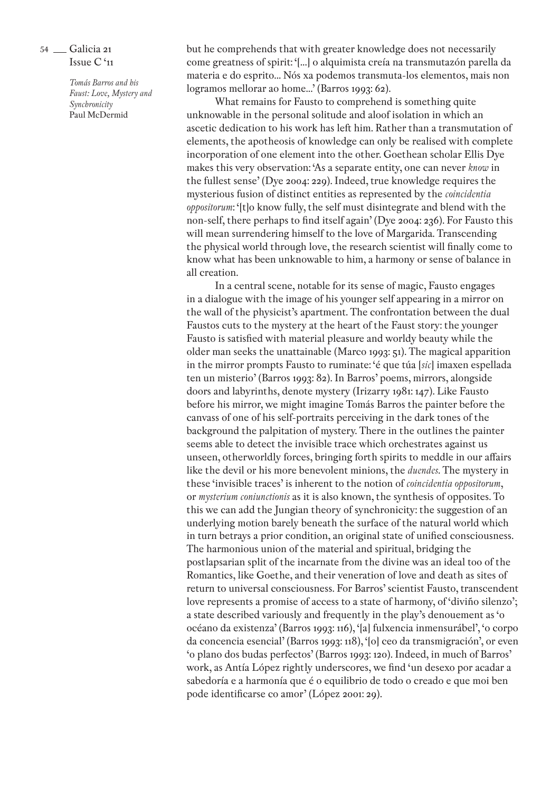> *Tomás Barros and his Faust: Love, Mystery and Synchronicity* Paul McDermid

but he comprehends that with greater knowledge does not necessarily come greatness of spirit: '[...] o alquimista creía na transmutazón parella da materia e do esprito... Nós xa podemos transmuta-los elementos, mais non logramos mellorar ao home...' (Barros 1993: 62).

What remains for Fausto to comprehend is something quite unknowable in the personal solitude and aloof isolation in which an ascetic dedication to his work has left him. Rather than a transmutation of elements, the apotheosis of knowledge can only be realised with complete incorporation of one element into the other. Goethean scholar Ellis Dye makes this very observation: 'As a separate entity, one can never *know* in the fullest sense' (Dye 2004: 229). Indeed, true knowledge requires the mysterious fusion of distinct entities as represented by the *coincidentia oppositorum*: '[t]o know fully, the self must disintegrate and blend with the non-self, there perhaps to find itself again' (Dye 2004: 236). For Fausto this will mean surrendering himself to the love of Margarida. Transcending the physical world through love, the research scientist will finally come to know what has been unknowable to him, a harmony or sense of balance in all creation.

In a central scene, notable for its sense of magic, Fausto engages in a dialogue with the image of his younger self appearing in a mirror on the wall of the physicist's apartment. The confrontation between the dual Faustos cuts to the mystery at the heart of the Faust story: the younger Fausto is satisfied with material pleasure and worldy beauty while the older man seeks the unattainable (Marco 1993: 51). The magical apparition in the mirror prompts Fausto to ruminate: 'é que túa [*sic*] imaxen espellada ten un misterio' (Barros 1993: 82). In Barros' poems, mirrors, alongside doors and labyrinths, denote mystery (Irizarry 1981: 147). Like Fausto before his mirror, we might imagine Tomás Barros the painter before the canvass of one of his self-portraits perceiving in the dark tones of the background the palpitation of mystery. There in the outlines the painter seems able to detect the invisible trace which orchestrates against us unseen, otherworldly forces, bringing forth spirits to meddle in our affairs like the devil or his more benevolent minions, the *duendes*. The mystery in these 'invisible traces' is inherent to the notion of *coincidentia oppositorum*, or *mysterium coniunctionis* as it is also known, the synthesis of opposites. To this we can add the Jungian theory of synchronicity: the suggestion of an underlying motion barely beneath the surface of the natural world which in turn betrays a prior condition, an original state of unified consciousness. The harmonious union of the material and spiritual, bridging the postlapsarian split of the incarnate from the divine was an ideal too of the Romantics, like Goethe, and their veneration of love and death as sites of return to universal consciousness. For Barros' scientist Fausto, transcendent love represents a promise of access to a state of harmony, of 'diviño silenzo'; a state described variously and frequently in the play's denouement as 'o océano da existenza' (Barros 1993: 116), '[a] fulxencia inmensurábel', 'o corpo da concencia esencial' (Barros 1993: 118), '[o] ceo da transmigración', or even 'o plano dos budas perfectos' (Barros 1993: 120). Indeed, in much of Barros' work, as Antía López rightly underscores, we find 'un desexo por acadar a sabedoría e a harmonía que é o equilibrio de todo o creado e que moi ben pode identificarse co amor' (López 2001: 29).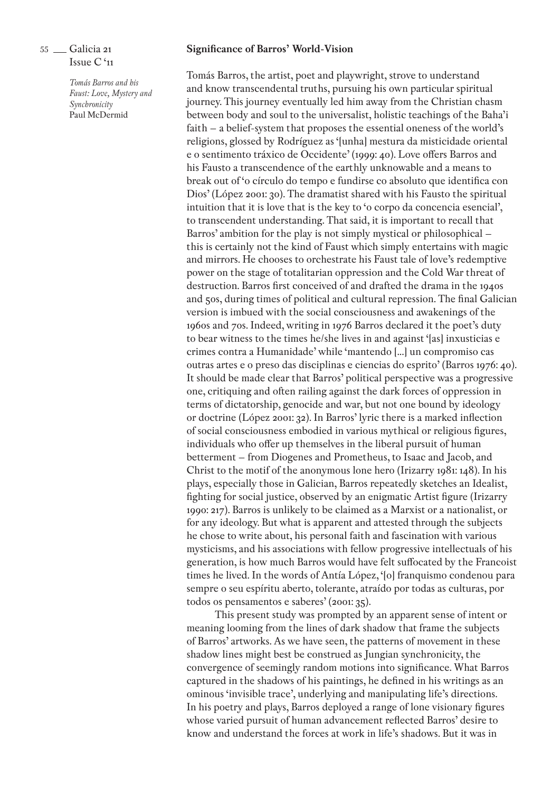*Tomás Barros and his Faust: Love, Mystery and Synchronicity* Paul McDermid

# **Significance of Barros' World-Vision**

Tomás Barros, the artist, poet and playwright, strove to understand and know transcendental truths, pursuing his own particular spiritual journey. This journey eventually led him away from the Christian chasm between body and soul to the universalist, holistic teachings of the Baha'i faith – a belief-system that proposes the essential oneness of the world's religions, glossed by Rodríguez as '[unha] mestura da misticidade oriental e o sentimento tráxico de Occidente' (1999: 40). Love offers Barros and his Fausto a transcendence of the earthly unknowable and a means to break out of 'o círculo do tempo e fundirse co absoluto que identifica con Dios' (López 2001: 30). The dramatist shared with his Fausto the spiritual intuition that it is love that is the key to 'o corpo da concencia esencial', to transcendent understanding. That said, it is important to recall that Barros' ambition for the play is not simply mystical or philosophical – this is certainly not the kind of Faust which simply entertains with magic and mirrors. He chooses to orchestrate his Faust tale of love's redemptive power on the stage of totalitarian oppression and the Cold War threat of destruction. Barros first conceived of and drafted the drama in the 1940s and 50s, during times of political and cultural repression. The final Galician version is imbued with the social consciousness and awakenings of the 1960s and 70s. Indeed, writing in 1976 Barros declared it the poet's duty to bear witness to the times he/she lives in and against '[as] inxusticias e crimes contra a Humanidade' while 'mantendo [...] un compromiso cas outras artes e o preso das disciplinas e ciencias do esprito' (Barros 1976: 40). It should be made clear that Barros' political perspective was a progressive one, critiquing and often railing against the dark forces of oppression in terms of dictatorship, genocide and war, but not one bound by ideology or doctrine (López 2001: 32). In Barros' lyric there is a marked inflection of social consciousness embodied in various mythical or religious figures, individuals who offer up themselves in the liberal pursuit of human betterment – from Diogenes and Prometheus, to Isaac and Jacob, and Christ to the motif of the anonymous lone hero (Irizarry 1981: 148). In his plays, especially those in Galician, Barros repeatedly sketches an Idealist, fighting for social justice, observed by an enigmatic Artist figure (Irizarry 1990: 217). Barros is unlikely to be claimed as a Marxist or a nationalist, or for any ideology. But what is apparent and attested through the subjects he chose to write about, his personal faith and fascination with various mysticisms, and his associations with fellow progressive intellectuals of his generation, is how much Barros would have felt suffocated by the Francoist times he lived. In the words of Antía López, '[o] franquismo condenou para sempre o seu espíritu aberto, tolerante, atraído por todas as culturas, por todos os pensamentos e saberes' (2001: 35).

This present study was prompted by an apparent sense of intent or meaning looming from the lines of dark shadow that frame the subjects of Barros' artworks. As we have seen, the patterns of movement in these shadow lines might best be construed as Jungian synchronicity, the convergence of seemingly random motions into significance. What Barros captured in the shadows of his paintings, he defined in his writings as an ominous 'invisible trace', underlying and manipulating life's directions. In his poetry and plays, Barros deployed a range of lone visionary figures whose varied pursuit of human advancement reflected Barros' desire to know and understand the forces at work in life's shadows. But it was in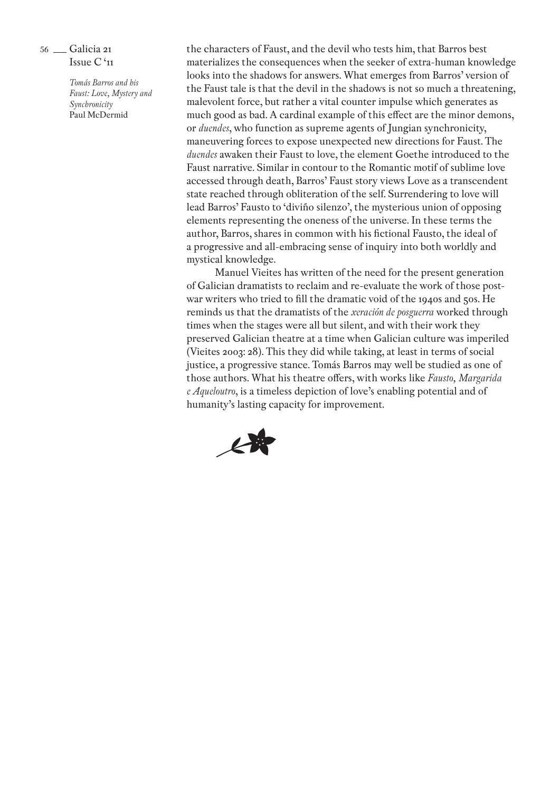> *Tomás Barros and his Faust: Love, Mystery and Synchronicity* Paul McDermid

the characters of Faust, and the devil who tests him, that Barros best materializes the consequences when the seeker of extra-human knowledge looks into the shadows for answers. What emerges from Barros' version of the Faust tale is that the devil in the shadows is not so much a threatening, malevolent force, but rather a vital counter impulse which generates as much good as bad. A cardinal example of this effect are the minor demons, or *duendes*, who function as supreme agents of Jungian synchronicity, maneuvering forces to expose unexpected new directions for Faust. The *duendes* awaken their Faust to love, the element Goethe introduced to the Faust narrative. Similar in contour to the Romantic motif of sublime love accessed through death, Barros' Faust story views Love as a transcendent state reached through obliteration of the self. Surrendering to love will lead Barros' Fausto to 'diviño silenzo', the mysterious union of opposing elements representing the oneness of the universe. In these terms the author, Barros, shares in common with his fictional Fausto, the ideal of a progressive and all-embracing sense of inquiry into both worldly and mystical knowledge.

Manuel Vieites has written of the need for the present generation of Galician dramatists to reclaim and re-evaluate the work of those postwar writers who tried to fill the dramatic void of the 1940s and 50s. He reminds us that the dramatists of the *xeración de posguerra* worked through times when the stages were all but silent, and with their work they preserved Galician theatre at a time when Galician culture was imperiled (Vieites 2003: 28). This they did while taking, at least in terms of social justice, a progressive stance. Tomás Barros may well be studied as one of those authors. What his theatre offers, with works like *Fausto, Margarida e Aqueloutro*, is a timeless depiction of love's enabling potential and of humanity's lasting capacity for improvement.

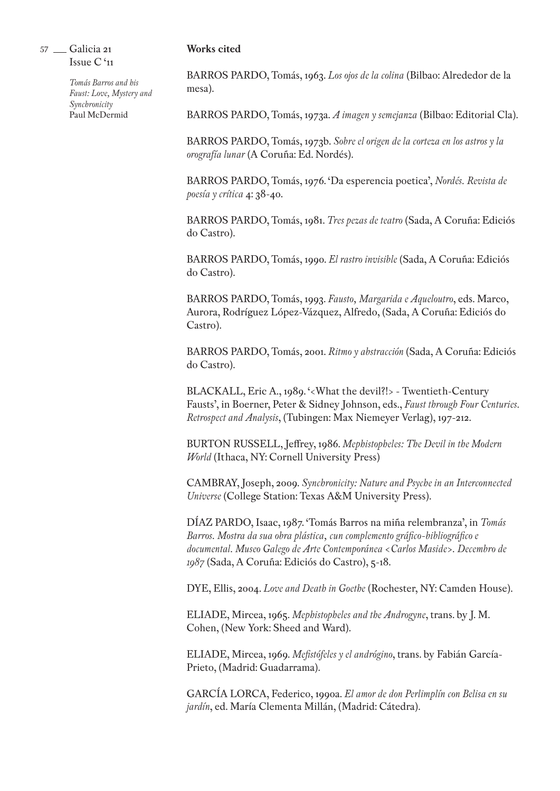#### *Tomás Barros and his Faust: Love, Mystery and Synchronicity* Paul McDermid

## **Works cited**

BARROS PARDO, Tomás, 1963. *Los ojos de la colina* (Bilbao: Alrededor de la mesa).

BARROS PARDO, Tomás, 1973a. *A imagen y semejanza* (Bilbao: Editorial Cla).

BARROS PARDO, Tomás, 1973b. *Sobre el origen de la corteza en los astros y la orografía lunar* (A Coruña: Ed. Nordés).

BARROS PARDO, Tomás, 1976. 'Da esperencia poetica', *Nordés. Revista de poesía y crítica* 4: 38-40.

BARROS PARDO, Tomás, 1981. *Tres pezas de teatro* (Sada, A Coruña: Ediciós do Castro).

BARROS PARDO, Tomás, 1990. *El rastro invisible* (Sada, A Coruña: Ediciós do Castro).

BARROS PARDO, Tomás, 1993. *Fausto, Margarida e Aqueloutro*, eds. Marco, Aurora, Rodríguez López-Vázquez, Alfredo, (Sada, A Coruña: Ediciós do Castro).

BARROS PARDO, Tomás, 2001. *Ritmo y abstracción* (Sada, A Coruña: Ediciós do Castro).

BLACKALL, Eric A., 1989. '<What the devil?!> - Twentieth-Century Fausts', in Boerner, Peter & Sidney Johnson, eds., *Faust through Four Centuries. Retrospect and Analysis*, (Tubingen: Max Niemeyer Verlag), 197-212.

BURTON RUSSELL, Jeffrey, 1986. *Mephistopheles: The Devil in the Modern World* (Ithaca, NY: Cornell University Press)

CAMBRAY, Joseph, 2009. *Synchronicity: Nature and Psyche in an Interconnected Universe* (College Station: Texas A&M University Press).

DÍAZ PARDO, Isaac, 1987. 'Tomás Barros na miña relembranza', in *Tomás Barros. Mostra da sua obra plástica, cun complemento gráfico-bibliográfico e documental. Museo Galego de Arte Contemporánea <Carlos Maside>. Decembro de 1987* (Sada, A Coruña: Ediciós do Castro), 5-18.

DYE, Ellis, 2004. *Love and Death in Goethe* (Rochester, NY: Camden House).

ELIADE, Mircea, 1965. *Mephistopheles and the Androgyne*, trans. by J. M. Cohen, (New York: Sheed and Ward).

ELIADE, Mircea, 1969. *Mefistófeles y el andrógino*, trans. by Fabián García-Prieto, (Madrid: Guadarrama).

GARCÍA LORCA, Federico, 1990a. *El amor de don Perlimplín con Belisa en su jardín*, ed. María Clementa Millán, (Madrid: Cátedra).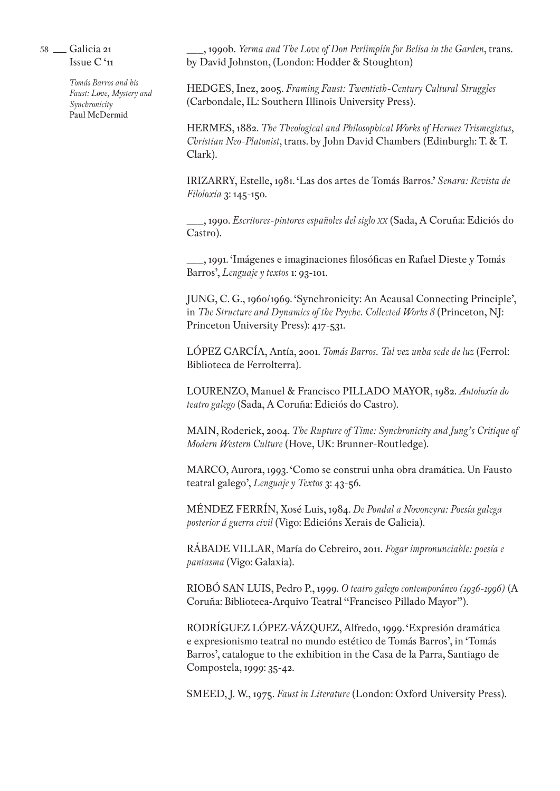> *Tomás Barros and his Faust: Love, Mystery and Synchronicity* Paul McDermid

\_\_\_, 1990b. *Yerma and The Love of Don Perlimplín for Belisa in the Garden*, trans. by David Johnston, (London: Hodder & Stoughton)

HEDGES, Inez, 2005. *Framing Faust: Twentieth-Century Cultural Struggles* (Carbondale, IL: Southern Illinois University Press).

HERMES, 1882. *The Theological and Philosophical Works of Hermes Trismegistus, Christian Neo-Platonist*, trans. by John David Chambers (Edinburgh: T. & T. Clark).

IRIZARRY, Estelle, 1981. 'Las dos artes de Tomás Barros.' *Senara: Revista de Filoloxia* 3: 145-150.

\_\_\_, 1990. *Escritores-pintores españoles del siglo xx* (Sada, A Coruña: Ediciós do Castro).

\_\_\_, 1991. 'Imágenes e imaginaciones filosóficas en Rafael Dieste y Tomás Barros', *Lenguaje y textos* 1: 93-101.

JUNG, C. G., 1960/1969. 'Synchronicity: An Acausal Connecting Principle', in *The Structure and Dynamics of the Psyche. Collected Works 8* (Princeton, NJ: Princeton University Press): 417-531.

LÓPEZ GARCÍA, Antía, 2001. *Tomás Barros. Tal vez unha sede de luz* (Ferrol: Biblioteca de Ferrolterra).

LOURENZO, Manuel & Francisco PILLADO MAYOR, 1982. *Antoloxía do teatro galego* (Sada, A Coruña: Ediciós do Castro).

MAIN, Roderick, 2004. *The Rupture of Time: Synchronicity and Jung's Critique of Modern Western Culture* (Hove, UK: Brunner-Routledge).

MARCO, Aurora, 1993. 'Como se construi unha obra dramática. Un Fausto teatral galego', *Lenguaje y Textos* 3: 43-56.

MÉNDEZ FERRÍN, Xosé Luis, 1984. *De Pondal a Novoneyra: Poesía galega posterior á guerra civil* (Vigo: Edicións Xerais de Galicia).

RÁBADE VILLAR, María do Cebreiro, 2011. *Fogar impronunciable: poesía e pantasma* (Vigo: Galaxia).

RIOBÓ SAN LUIS, Pedro P., 1999. *O teatro galego contemporáneo (1936-1996)* (A Coruña: Biblioteca-Arquivo Teatral "Francisco Pillado Mayor").

RODRÍGUEZ LÓPEZ-VÁZQUEZ, Alfredo, 1999. 'Expresión dramática e expresionismo teatral no mundo estético de Tomás Barros', in 'Tomás Barros', catalogue to the exhibition in the Casa de la Parra, Santiago de Compostela, 1999: 35-42.

SMEED, J. W., 1975. *Faust in Literature* (London: Oxford University Press).